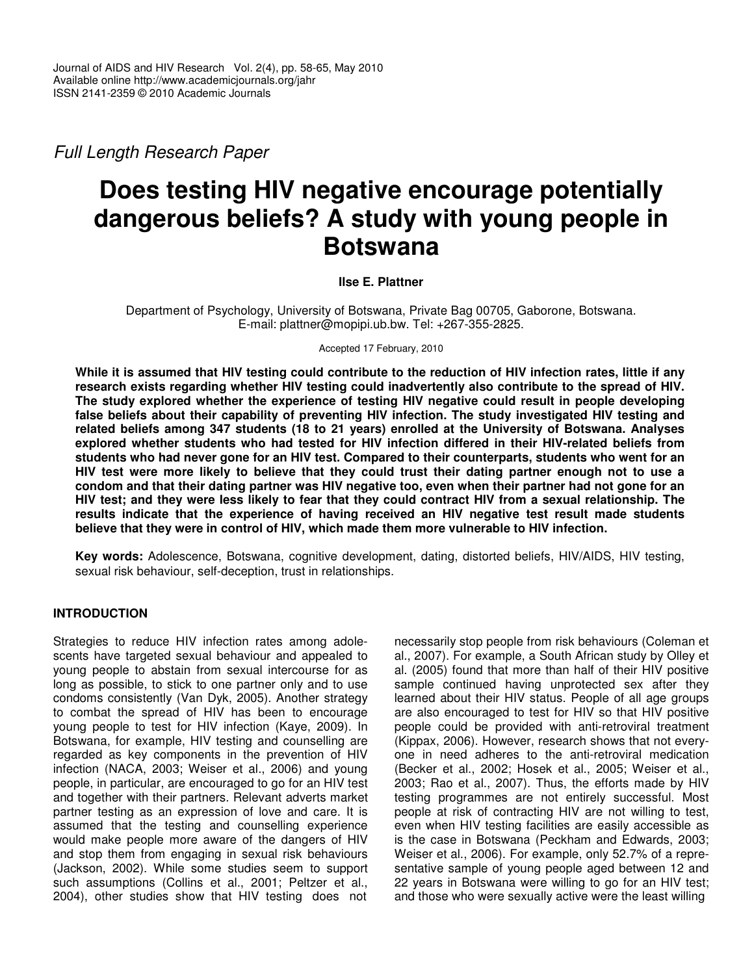*Full Length Research Paper*

# **Does testing HIV negative encourage potentially dangerous beliefs? A study with young people in Botswana**

## **Ilse E. Plattner**

Department of Psychology, University of Botswana, Private Bag 00705, Gaborone, Botswana. E-mail: plattner@mopipi.ub.bw. Tel: +267-355-2825.

Accepted 17 February, 2010

While it is assumed that HIV testing could contribute to the reduction of HIV infection rates, little if any **research exists regarding whether HIV testing could inadvertently also contribute to the spread of HIV. The study explored whether the experience of testing HIV negative could result in people developing false beliefs about their capability of preventing HIV infection. The study investigated HIV testing and related beliefs among 347 students (18 to 21 years) enrolled at the University of Botswana. Analyses explored whether students who had tested for HIV infection differed in their HIV-related beliefs from** students who had never gone for an HIV test. Compared to their counterparts, students who went for an HIV test were more likely to believe that they could trust their dating partner enough not to use a condom and that their dating partner was HIV negative too, even when their partner had not gone for an HIV test; and they were less likely to fear that they could contract HIV from a sexual relationship. The **results indicate that the experience of having received an HIV negative test result made students believe that they were in control of HIV, which made them more vulnerable to HIV infection.**

**Key words:** Adolescence, Botswana, cognitive development, dating, distorted beliefs, HIV/AIDS, HIV testing, sexual risk behaviour, self-deception, trust in relationships.

# **INTRODUCTION**

Strategies to reduce HIV infection rates among adolescents have targeted sexual behaviour and appealed to young people to abstain from sexual intercourse for as long as possible, to stick to one partner only and to use condoms consistently (Van Dyk, 2005). Another strategy to combat the spread of HIV has been to encourage young people to test for HIV infection (Kaye, 2009). In Botswana, for example, HIV testing and counselling are regarded as key components in the prevention of HIV infection (NACA, 2003; Weiser et al., 2006) and young people, in particular, are encouraged to go for an HIV test and together with their partners. Relevant adverts market partner testing as an expression of love and care. It is assumed that the testing and counselling experience would make people more aware of the dangers of HIV and stop them from engaging in sexual risk behaviours (Jackson, 2002). While some studies seem to support such assumptions (Collins et al., 2001; Peltzer et al., 2004), other studies show that HIV testing does not

necessarily stop people from risk behaviours (Coleman et al., 2007). For example, a South African study by Olley et al. (2005) found that more than half of their HIV positive sample continued having unprotected sex after they learned about their HIV status. People of all age groups are also encouraged to test for HIV so that HIV positive people could be provided with anti-retroviral treatment (Kippax, 2006). However, research shows that not everyone in need adheres to the anti-retroviral medication (Becker et al., 2002; Hosek et al., 2005; Weiser et al., 2003; Rao et al., 2007). Thus, the efforts made by HIV testing programmes are not entirely successful. Most people at risk of contracting HIV are not willing to test, even when HIV testing facilities are easily accessible as is the case in Botswana (Peckham and Edwards, 2003; Weiser et al., 2006). For example, only 52.7% of a representative sample of young people aged between 12 and 22 years in Botswana were willing to go for an HIV test; and those who were sexually active were the least willing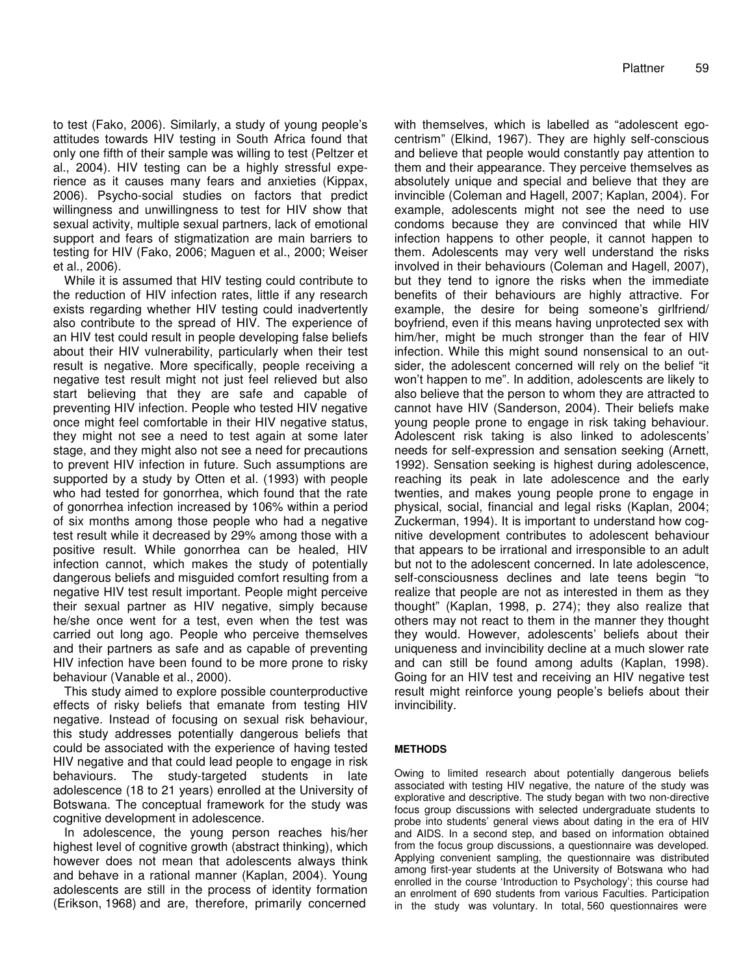to test (Fako, 2006). Similarly, a study of young people's attitudes towards HIV testing in South Africa found that only one fifth of their sample was willing to test (Peltzer et al., 2004). HIV testing can be a highly stressful experience as it causes many fears and anxieties (Kippax, 2006). Psycho-social studies on factors that predict willingness and unwillingness to test for HIV show that sexual activity, multiple sexual partners, lack of emotional support and fears of stigmatization are main barriers to testing for HIV (Fako, 2006; Maguen et al., 2000; Weiser et al., 2006).

While it is assumed that HIV testing could contribute to the reduction of HIV infection rates, little if any research exists regarding whether HIV testing could inadvertently also contribute to the spread of HIV. The experience of an HIV test could result in people developing false beliefs about their HIV vulnerability, particularly when their test result is negative. More specifically, people receiving a negative test result might not just feel relieved but also start believing that they are safe and capable of preventing HIV infection. People who tested HIV negative once might feel comfortable in their HIV negative status, they might not see a need to test again at some later stage, and they might also not see a need for precautions to prevent HIV infection in future. Such assumptions are supported by a study by Otten et al. (1993) with people who had tested for gonorrhea, which found that the rate of gonorrhea infection increased by 106% within a period of six months among those people who had a negative test result while it decreased by 29% among those with a positive result. While gonorrhea can be healed, HIV infection cannot, which makes the study of potentially dangerous beliefs and misguided comfort resulting from a negative HIV test result important. People might perceive their sexual partner as HIV negative, simply because he/she once went for a test, even when the test was carried out long ago. People who perceive themselves and their partners as safe and as capable of preventing HIV infection have been found to be more prone to risky behaviour (Vanable et al., 2000).

This study aimed to explore possible counterproductive effects of risky beliefs that emanate from testing HIV negative. Instead of focusing on sexual risk behaviour, this study addresses potentially dangerous beliefs that could be associated with the experience of having tested HIV negative and that could lead people to engage in risk behaviours. The study-targeted students in late adolescence (18 to 21 years) enrolled at the University of Botswana. The conceptual framework for the study was cognitive development in adolescence.

In adolescence, the young person reaches his/her highest level of cognitive growth (abstract thinking), which however does not mean that adolescents always think and behave in a rational manner (Kaplan, 2004). Young adolescents are still in the process of identity formation (Erikson, 1968) and are, therefore, primarily concerned

with themselves, which is labelled as "adolescent egocentrism" (Elkind, 1967). They are highly self-conscious and believe that people would constantly pay attention to them and their appearance. They perceive themselves as absolutely unique and special and believe that they are invincible (Coleman and Hagell, 2007; Kaplan, 2004). For example, adolescents might not see the need to use condoms because they are convinced that while HIV infection happens to other people, it cannot happen to them. Adolescents may very well understand the risks involved in their behaviours (Coleman and Hagell, 2007), but they tend to ignore the risks when the immediate benefits of their behaviours are highly attractive. For example, the desire for being someone's girlfriend/ boyfriend, even if this means having unprotected sex with him/her, might be much stronger than the fear of HIV infection. While this might sound nonsensical to an outsider, the adolescent concerned will rely on the belief "it won't happen to me". In addition, adolescents are likely to also believe that the person to whom they are attracted to cannot have HIV (Sanderson, 2004). Their beliefs make young people prone to engage in risk taking behaviour. Adolescent risk taking is also linked to adolescents' needs for self-expression and sensation seeking (Arnett, 1992). Sensation seeking is highest during adolescence, reaching its peak in late adolescence and the early twenties, and makes young people prone to engage in physical, social, financial and legal risks (Kaplan, 2004; Zuckerman, 1994). It is important to understand how cognitive development contributes to adolescent behaviour that appears to be irrational and irresponsible to an adult but not to the adolescent concerned. In late adolescence, self-consciousness declines and late teens begin "to realize that people are not as interested in them as they thought" (Kaplan, 1998, p. 274); they also realize that others may not react to them in the manner they thought they would. However, adolescents' beliefs about their uniqueness and invincibility decline at a much slower rate and can still be found among adults (Kaplan, 1998). Going for an HIV test and receiving an HIV negative test result might reinforce young people's beliefs about their invincibility.

### **METHODS**

Owing to limited research about potentially dangerous beliefs associated with testing HIV negative, the nature of the study was explorative and descriptive. The study began with two non-directive focus group discussions with selected undergraduate students to probe into students' general views about dating in the era of HIV and AIDS. In a second step, and based on information obtained from the focus group discussions, a questionnaire was developed. Applying convenient sampling, the questionnaire was distributed among first-year students at the University of Botswana who had enrolled in the course 'Introduction to Psychology'; this course had an enrolment of 690 students from various Faculties. Participation in the study was voluntary. In total, 560 questionnaires were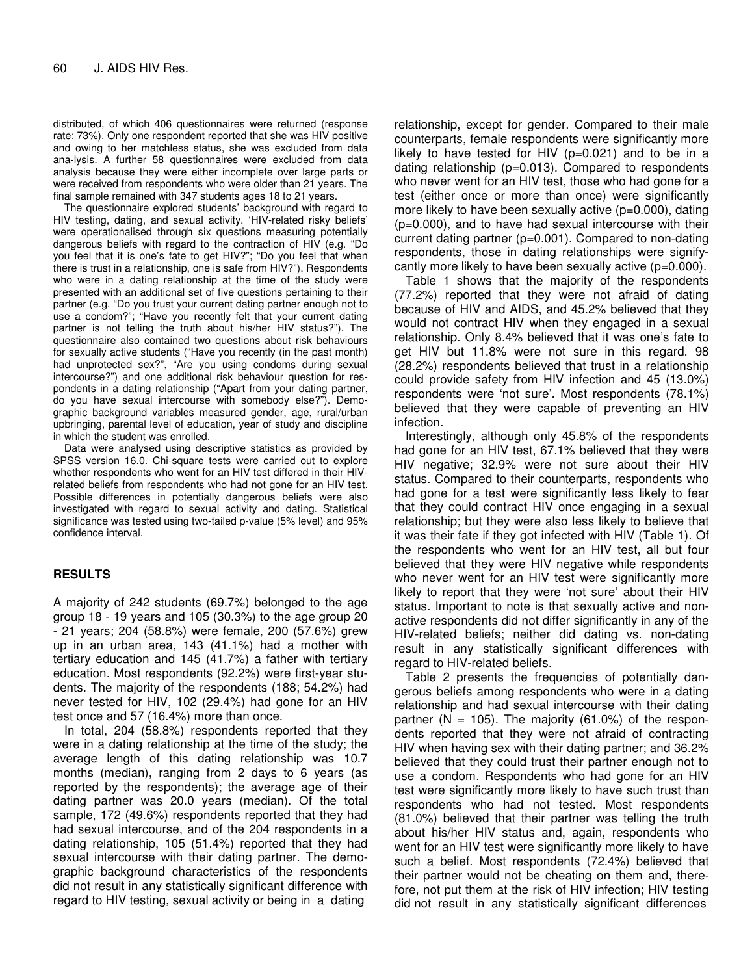distributed, of which 406 questionnaires were returned (response rate: 73%). Only one respondent reported that she was HIV positive and owing to her matchless status, she was excluded from data ana-lysis. A further 58 questionnaires were excluded from data analysis because they were either incomplete over large parts or were received from respondents who were older than 21 years. The final sample remained with 347 students ages 18 to 21 years.

The questionnaire explored students' background with regard to HIV testing, dating, and sexual activity. 'HIV-related risky beliefs' were operationalised through six questions measuring potentially dangerous beliefs with regard to the contraction of HIV (e.g. "Do you feel that it is one's fate to get HIV?"; "Do you feel that when there is trust in a relationship, one is safe from HIV?"). Respondents who were in a dating relationship at the time of the study were presented with an additional set of five questions pertaining to their partner (e.g. "Do you trust your current dating partner enough not to use a condom?"; "Have you recently felt that your current dating partner is not telling the truth about his/her HIV status?"). The questionnaire also contained two questions about risk behaviours for sexually active students ("Have you recently (in the past month) had unprotected sex?", "Are you using condoms during sexual intercourse?") and one additional risk behaviour question for respondents in a dating relationship ("Apart from your dating partner, do you have sexual intercourse with somebody else?"). Demographic background variables measured gender, age, rural/urban upbringing, parental level of education, year of study and discipline in which the student was enrolled.

Data were analysed using descriptive statistics as provided by SPSS version 16.0. Chi-square tests were carried out to explore whether respondents who went for an HIV test differed in their HIVrelated beliefs from respondents who had not gone for an HIV test. Possible differences in potentially dangerous beliefs were also investigated with regard to sexual activity and dating. Statistical significance was tested using two-tailed p-value (5% level) and 95% confidence interval.

### **RESULTS**

A majority of 242 students (69.7%) belonged to the age group 18 - 19 years and 105 (30.3%) to the age group 20 - 21 years; 204 (58.8%) were female, 200 (57.6%) grew up in an urban area, 143 (41.1%) had a mother with tertiary education and 145 (41.7%) a father with tertiary education. Most respondents (92.2%) were first-year students. The majority of the respondents (188; 54.2%) had never tested for HIV, 102 (29.4%) had gone for an HIV test once and 57 (16.4%) more than once.

In total, 204 (58.8%) respondents reported that they were in a dating relationship at the time of the study; the average length of this dating relationship was 10.7 months (median), ranging from 2 days to 6 years (as reported by the respondents); the average age of their dating partner was 20.0 years (median). Of the total sample, 172 (49.6%) respondents reported that they had had sexual intercourse, and of the 204 respondents in a dating relationship, 105 (51.4%) reported that they had sexual intercourse with their dating partner. The demographic background characteristics of the respondents did not result in any statistically significant difference with regard to HIV testing, sexual activity or being in a dating

relationship, except for gender. Compared to their male counterparts, female respondents were significantly more likely to have tested for HIV  $(p=0.021)$  and to be in a dating relationship (p=0.013). Compared to respondents who never went for an HIV test, those who had gone for a test (either once or more than once) were significantly more likely to have been sexually active (p=0.000), dating (p=0.000), and to have had sexual intercourse with their current dating partner (p=0.001). Compared to non-dating respondents, those in dating relationships were signifycantly more likely to have been sexually active (p=0.000).

Table 1 shows that the majority of the respondents (77.2%) reported that they were not afraid of dating because of HIV and AIDS, and 45.2% believed that they would not contract HIV when they engaged in a sexual relationship. Only 8.4% believed that it was one's fate to get HIV but 11.8% were not sure in this regard. 98 (28.2%) respondents believed that trust in a relationship could provide safety from HIV infection and 45 (13.0%) respondents were 'not sure'. Most respondents (78.1%) believed that they were capable of preventing an HIV infection.

Interestingly, although only 45.8% of the respondents had gone for an HIV test, 67.1% believed that they were HIV negative; 32.9% were not sure about their HIV status. Compared to their counterparts, respondents who had gone for a test were significantly less likely to fear that they could contract HIV once engaging in a sexual relationship; but they were also less likely to believe that it was their fate if they got infected with HIV (Table 1). Of the respondents who went for an HIV test, all but four believed that they were HIV negative while respondents who never went for an HIV test were significantly more likely to report that they were 'not sure' about their HIV status. Important to note is that sexually active and nonactive respondents did not differ significantly in any of the HIV-related beliefs; neither did dating vs. non-dating result in any statistically significant differences with regard to HIV-related beliefs.

Table 2 presents the frequencies of potentially dangerous beliefs among respondents who were in a dating relationship and had sexual intercourse with their dating partner ( $N = 105$ ). The majority (61.0%) of the respondents reported that they were not afraid of contracting HIV when having sex with their dating partner; and 36.2% believed that they could trust their partner enough not to use a condom. Respondents who had gone for an HIV test were significantly more likely to have such trust than respondents who had not tested. Most respondents (81.0%) believed that their partner was telling the truth about his/her HIV status and, again, respondents who went for an HIV test were significantly more likely to have such a belief. Most respondents (72.4%) believed that their partner would not be cheating on them and, therefore, not put them at the risk of HIV infection; HIV testing did not result in any statistically significant differences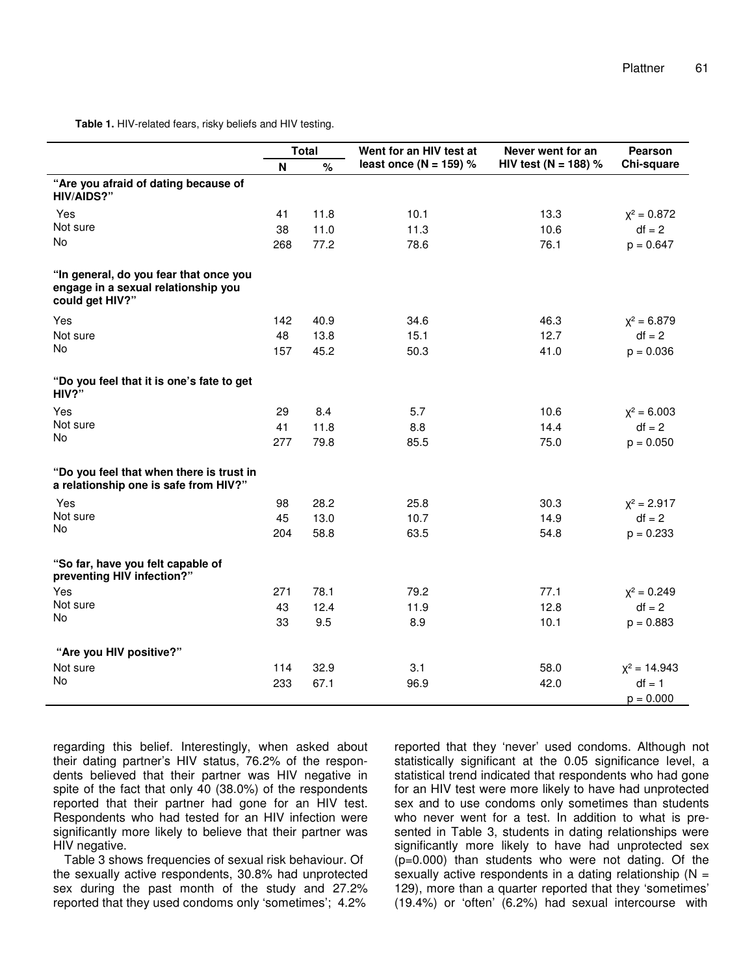**Table 1.** HIV-related fears, risky beliefs and HIV testing.

|                                                                                                  | <b>Total</b><br>%<br>N |      | Went for an HIV test at    | Never went for an    | Pearson        |
|--------------------------------------------------------------------------------------------------|------------------------|------|----------------------------|----------------------|----------------|
|                                                                                                  |                        |      | least once ( $N = 159$ ) % | HIV test (N = 188) % | Chi-square     |
| "Are you afraid of dating because of<br>HIV/AIDS?"                                               |                        |      |                            |                      |                |
| Yes                                                                                              | 41                     | 11.8 | 10.1                       | 13.3                 | $X^2 = 0.872$  |
| Not sure                                                                                         | 38                     | 11.0 | 11.3                       | 10.6                 | $df = 2$       |
| No                                                                                               | 268                    | 77.2 | 78.6                       | 76.1                 | $p = 0.647$    |
| "In general, do you fear that once you<br>engage in a sexual relationship you<br>could get HIV?" |                        |      |                            |                      |                |
| Yes                                                                                              | 142                    | 40.9 | 34.6                       | 46.3                 | $X^2 = 6.879$  |
| Not sure                                                                                         | 48                     | 13.8 | 15.1                       | 12.7                 | $df = 2$       |
| No                                                                                               | 157                    | 45.2 | 50.3                       | 41.0                 | $p = 0.036$    |
| "Do you feel that it is one's fate to get<br>HIV?"                                               |                        |      |                            |                      |                |
| Yes                                                                                              | 29                     | 8.4  | 5.7                        | 10.6                 | $X^2 = 6.003$  |
| Not sure                                                                                         | 41                     | 11.8 | 8.8                        | 14.4                 | $df = 2$       |
| No                                                                                               | 277                    | 79.8 | 85.5                       | 75.0                 | $p = 0.050$    |
| "Do you feel that when there is trust in<br>a relationship one is safe from HIV?"                |                        |      |                            |                      |                |
| Yes                                                                                              | 98                     | 28.2 | 25.8                       | 30.3                 | $x^2 = 2.917$  |
| Not sure                                                                                         | 45                     | 13.0 | 10.7                       | 14.9                 | $df = 2$       |
| No                                                                                               | 204                    | 58.8 | 63.5                       | 54.8                 | $p = 0.233$    |
| "So far, have you felt capable of<br>preventing HIV infection?"                                  |                        |      |                            |                      |                |
| Yes                                                                                              | 271                    | 78.1 | 79.2                       | 77.1                 | $X^2 = 0.249$  |
| Not sure                                                                                         | 43                     | 12.4 | 11.9                       | 12.8                 | $df = 2$       |
| No                                                                                               | 33                     | 9.5  | 8.9                        | 10.1                 | $p = 0.883$    |
| "Are you HIV positive?"                                                                          |                        |      |                            |                      |                |
| Not sure                                                                                         | 114                    | 32.9 | 3.1                        | 58.0                 | $X^2 = 14.943$ |
| No                                                                                               | 233                    | 67.1 | 96.9                       | 42.0                 | $df = 1$       |
|                                                                                                  |                        |      |                            |                      | $p = 0.000$    |

regarding this belief. Interestingly, when asked about their dating partner's HIV status, 76.2% of the respondents believed that their partner was HIV negative in spite of the fact that only 40 (38.0%) of the respondents reported that their partner had gone for an HIV test. Respondents who had tested for an HIV infection were significantly more likely to believe that their partner was HIV negative.

Table 3 shows frequencies of sexual risk behaviour. Of the sexually active respondents, 30.8% had unprotected sex during the past month of the study and 27.2% reported that they used condoms only 'sometimes'; 4.2%

reported that they 'never' used condoms. Although not statistically significant at the 0.05 significance level, a statistical trend indicated that respondents who had gone for an HIV test were more likely to have had unprotected sex and to use condoms only sometimes than students who never went for a test. In addition to what is presented in Table 3, students in dating relationships were significantly more likely to have had unprotected sex (p=0.000) than students who were not dating. Of the sexually active respondents in a dating relationship  $(N =$ 129), more than a quarter reported that they 'sometimes' (19.4%) or 'often' (6.2%) had sexual intercourse with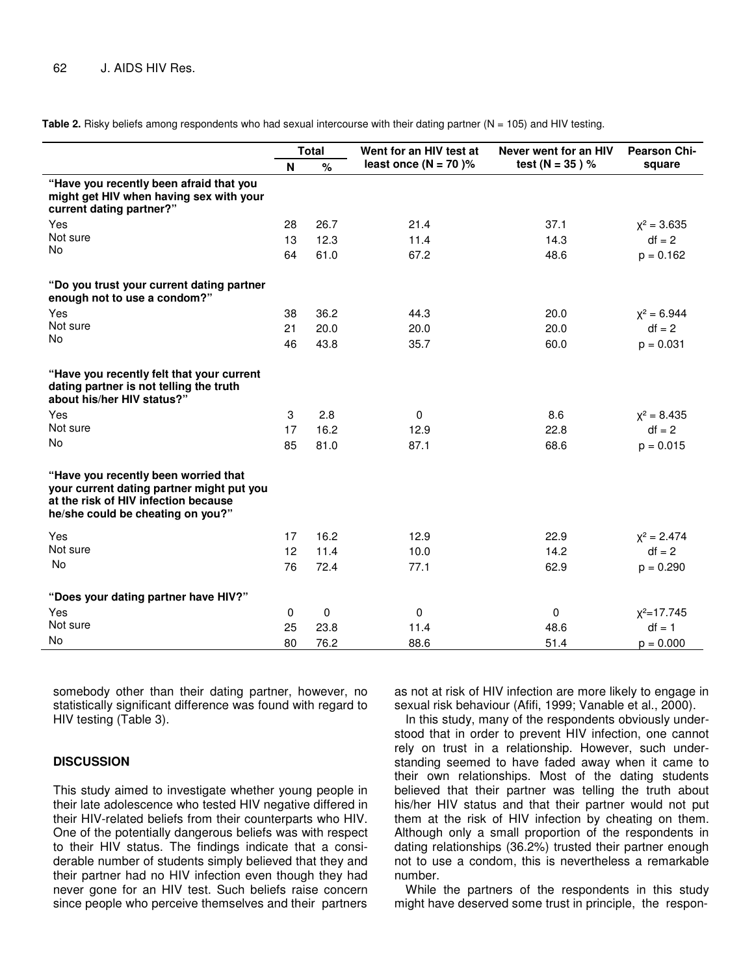**Table 2.** Risky beliefs among respondents who had sexual intercourse with their dating partner (N = 105) and HIV testing.

|                                                                                                                                                                | <b>Total</b> |      | Went for an HIV test at | Never went for an HIV | <b>Pearson Chi-</b> |
|----------------------------------------------------------------------------------------------------------------------------------------------------------------|--------------|------|-------------------------|-----------------------|---------------------|
|                                                                                                                                                                | N            | $\%$ | least once $(N = 70)$ % | test ( $N = 35$ ) %   | square              |
| "Have you recently been afraid that you<br>might get HIV when having sex with your<br>current dating partner?"                                                 |              |      |                         |                       |                     |
| Yes                                                                                                                                                            | 28           | 26.7 | 21.4                    | 37.1                  | $x^2 = 3.635$       |
| Not sure                                                                                                                                                       | 13           | 12.3 | 11.4                    | 14.3                  | $df = 2$            |
| No                                                                                                                                                             | 64           | 61.0 | 67.2                    | 48.6                  | $p = 0.162$         |
| "Do you trust your current dating partner<br>enough not to use a condom?"                                                                                      |              |      |                         |                       |                     |
| Yes                                                                                                                                                            | 38           | 36.2 | 44.3                    | 20.0                  | $x^2 = 6.944$       |
| Not sure                                                                                                                                                       | 21           | 20.0 | 20.0                    | 20.0                  | $df = 2$            |
| <b>No</b>                                                                                                                                                      | 46           | 43.8 | 35.7                    | 60.0                  | $p = 0.031$         |
| "Have you recently felt that your current<br>dating partner is not telling the truth<br>about his/her HIV status?"                                             |              |      |                         |                       |                     |
| Yes                                                                                                                                                            | 3            | 2.8  | 0                       | 8.6                   | $X^2 = 8.435$       |
| Not sure                                                                                                                                                       | 17           | 16.2 | 12.9                    | 22.8                  | $df = 2$            |
| No                                                                                                                                                             | 85           | 81.0 | 87.1                    | 68.6                  | $p = 0.015$         |
| "Have you recently been worried that<br>your current dating partner might put you<br>at the risk of HIV infection because<br>he/she could be cheating on you?" |              |      |                         |                       |                     |
| Yes                                                                                                                                                            | 17           | 16.2 | 12.9                    | 22.9                  | $X^2 = 2.474$       |
| Not sure                                                                                                                                                       | 12           | 11.4 | 10.0                    | 14.2                  | $df = 2$            |
| No                                                                                                                                                             | 76           | 72.4 | 77.1                    | 62.9                  | $p = 0.290$         |
| "Does your dating partner have HIV?"                                                                                                                           |              |      |                         |                       |                     |
| Yes                                                                                                                                                            | 0            | 0    | 0                       | 0                     | $X^2 = 17.745$      |
| Not sure                                                                                                                                                       | 25           | 23.8 | 11.4                    | 48.6                  | $df = 1$            |
| No                                                                                                                                                             | 80           | 76.2 | 88.6                    | 51.4                  | $p = 0.000$         |

somebody other than their dating partner, however, no statistically significant difference was found with regard to HIV testing (Table 3).

#### **DISCUSSION**

This study aimed to investigate whether young people in their late adolescence who tested HIV negative differed in their HIV-related beliefs from their counterparts who HIV. One of the potentially dangerous beliefs was with respect to their HIV status. The findings indicate that a considerable number of students simply believed that they and their partner had no HIV infection even though they had never gone for an HIV test. Such beliefs raise concern since people who perceive themselves and their partners

as not at risk of HIV infection are more likely to engage in sexual risk behaviour (Afifi, 1999; Vanable et al., 2000).

In this study, many of the respondents obviously understood that in order to prevent HIV infection, one cannot rely on trust in a relationship. However, such understanding seemed to have faded away when it came to their own relationships. Most of the dating students believed that their partner was telling the truth about his/her HIV status and that their partner would not put them at the risk of HIV infection by cheating on them. Although only a small proportion of the respondents in dating relationships (36.2%) trusted their partner enough not to use a condom, this is nevertheless a remarkable number.

While the partners of the respondents in this study might have deserved some trust in principle, the respon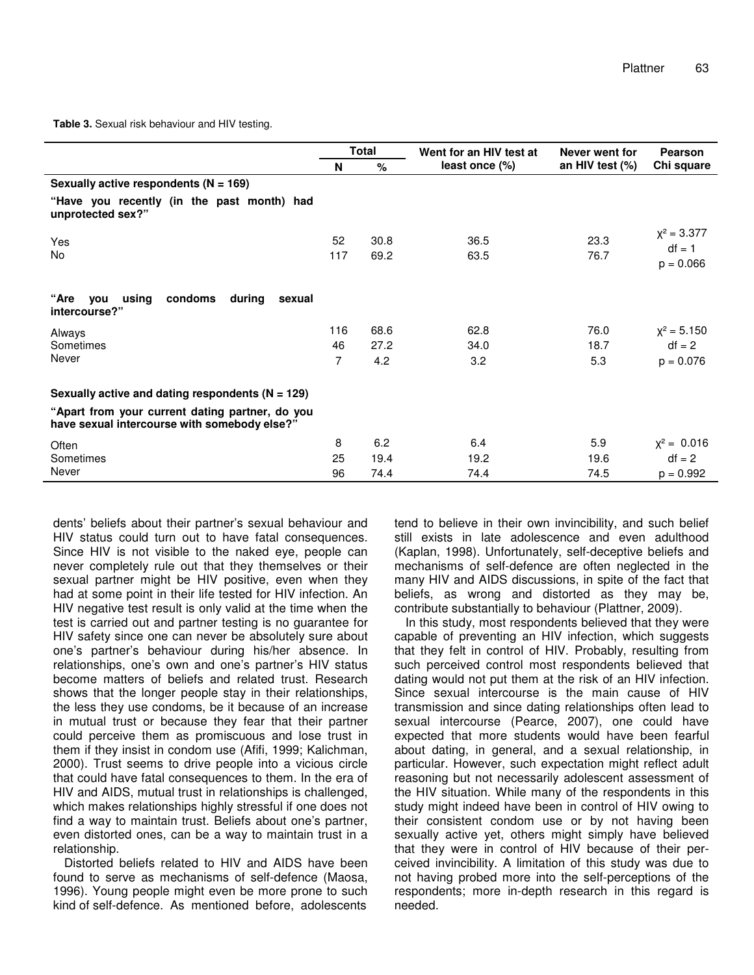**Table 3.** Sexual risk behaviour and HIV testing.

|                                                                                                 | Total     |              | Went for an HIV test at | Never went for  | Pearson                                  |
|-------------------------------------------------------------------------------------------------|-----------|--------------|-------------------------|-----------------|------------------------------------------|
|                                                                                                 | N         | $\%$         | least once (%)          | an HIV test (%) | Chi square                               |
| Sexually active respondents ( $N = 169$ )                                                       |           |              |                         |                 |                                          |
| "Have you recently (in the past month) had<br>unprotected sex?"                                 |           |              |                         |                 |                                          |
| Yes<br><b>No</b>                                                                                | 52<br>117 | 30.8<br>69.2 | 36.5<br>63.5            | 23.3<br>76.7    | $X^2 = 3.377$<br>$df = 1$<br>$p = 0.066$ |
| "Are<br>using<br>condoms<br><b>vou</b><br>during<br>sexual<br>intercourse?"                     |           |              |                         |                 |                                          |
| Always                                                                                          | 116       | 68.6         | 62.8                    | 76.0            | $x^2 = 5.150$                            |
| Sometimes                                                                                       | 46        | 27.2         | 34.0                    | 18.7            | $df = 2$                                 |
| Never                                                                                           | 7         | 4.2          | 3.2                     | 5.3             | $p = 0.076$                              |
| Sexually active and dating respondents ( $N = 129$ )                                            |           |              |                         |                 |                                          |
| "Apart from your current dating partner, do you<br>have sexual intercourse with somebody else?" |           |              |                         |                 |                                          |
| Often                                                                                           | 8         | 6.2          | 6.4                     | 5.9             | $x^2 = 0.016$                            |
| Sometimes                                                                                       | 25        | 19.4         | 19.2                    | 19.6            | $df = 2$                                 |
| Never                                                                                           | 96        | 74.4         | 74.4                    | 74.5            | $p = 0.992$                              |

dents' beliefs about their partner's sexual behaviour and HIV status could turn out to have fatal consequences. Since HIV is not visible to the naked eye, people can never completely rule out that they themselves or their sexual partner might be HIV positive, even when they had at some point in their life tested for HIV infection. An HIV negative test result is only valid at the time when the test is carried out and partner testing is no guarantee for HIV safety since one can never be absolutely sure about one's partner's behaviour during his/her absence. In relationships, one's own and one's partner's HIV status become matters of beliefs and related trust. Research shows that the longer people stay in their relationships, the less they use condoms, be it because of an increase in mutual trust or because they fear that their partner could perceive them as promiscuous and lose trust in them if they insist in condom use (Afifi, 1999; Kalichman, 2000). Trust seems to drive people into a vicious circle that could have fatal consequences to them. In the era of HIV and AIDS, mutual trust in relationships is challenged, which makes relationships highly stressful if one does not find a way to maintain trust. Beliefs about one's partner, even distorted ones, can be a way to maintain trust in a relationship.

Distorted beliefs related to HIV and AIDS have been found to serve as mechanisms of self-defence (Maosa, 1996). Young people might even be more prone to such kind of self-defence. As mentioned before, adolescents

tend to believe in their own invincibility, and such belief still exists in late adolescence and even adulthood (Kaplan, 1998). Unfortunately, self-deceptive beliefs and mechanisms of self-defence are often neglected in the many HIV and AIDS discussions, in spite of the fact that beliefs, as wrong and distorted as they may be, contribute substantially to behaviour (Plattner, 2009).

In this study, most respondents believed that they were capable of preventing an HIV infection, which suggests that they felt in control of HIV. Probably, resulting from such perceived control most respondents believed that dating would not put them at the risk of an HIV infection. Since sexual intercourse is the main cause of HIV transmission and since dating relationships often lead to sexual intercourse (Pearce, 2007), one could have expected that more students would have been fearful about dating, in general, and a sexual relationship, in particular. However, such expectation might reflect adult reasoning but not necessarily adolescent assessment of the HIV situation. While many of the respondents in this study might indeed have been in control of HIV owing to their consistent condom use or by not having been sexually active yet, others might simply have believed that they were in control of HIV because of their perceived invincibility. A limitation of this study was due to not having probed more into the self-perceptions of the respondents; more in-depth research in this regard is needed.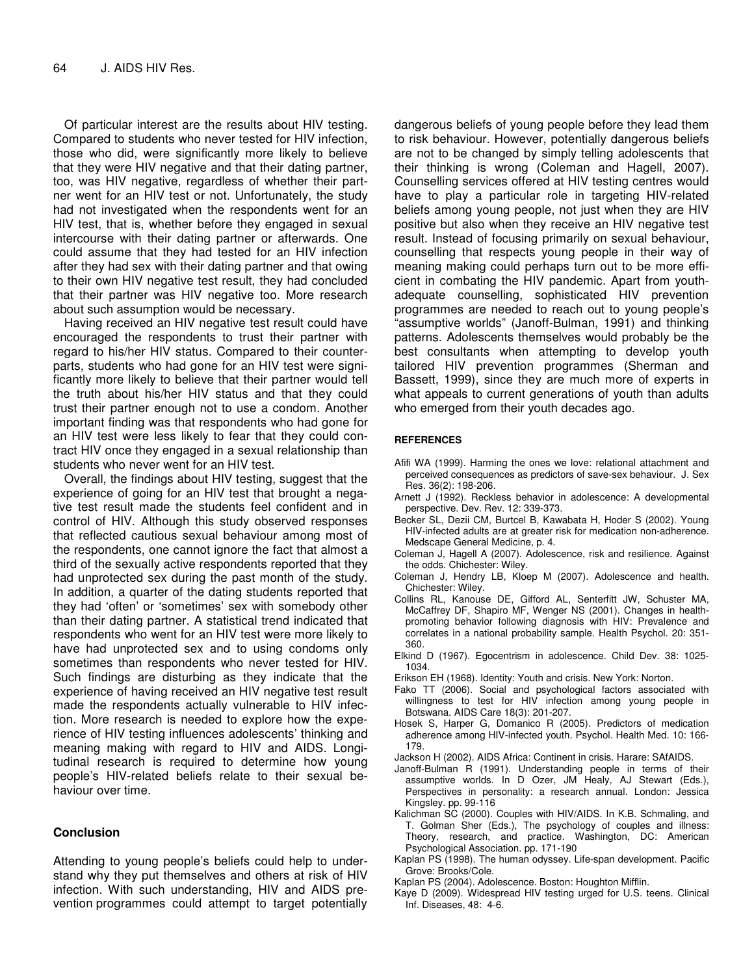Of particular interest are the results about HIV testing. Compared to students who never tested for HIV infection, those who did, were significantly more likely to believe that they were HIV negative and that their dating partner, too, was HIV negative, regardless of whether their partner went for an HIV test or not. Unfortunately, the study had not investigated when the respondents went for an HIV test, that is, whether before they engaged in sexual intercourse with their dating partner or afterwards. One could assume that they had tested for an HIV infection after they had sex with their dating partner and that owing to their own HIV negative test result, they had concluded that their partner was HIV negative too. More research about such assumption would be necessary.

Having received an HIV negative test result could have encouraged the respondents to trust their partner with regard to his/her HIV status. Compared to their counterparts, students who had gone for an HIV test were significantly more likely to believe that their partner would tell the truth about his/her HIV status and that they could trust their partner enough not to use a condom. Another important finding was that respondents who had gone for an HIV test were less likely to fear that they could contract HIV once they engaged in a sexual relationship than students who never went for an HIV test.

Overall, the findings about HIV testing, suggest that the experience of going for an HIV test that brought a negative test result made the students feel confident and in control of HIV. Although this study observed responses that reflected cautious sexual behaviour among most of the respondents, one cannot ignore the fact that almost a third of the sexually active respondents reported that they had unprotected sex during the past month of the study. In addition, a quarter of the dating students reported that they had 'often' or 'sometimes' sex with somebody other than their dating partner. A statistical trend indicated that respondents who went for an HIV test were more likely to have had unprotected sex and to using condoms only sometimes than respondents who never tested for HIV. Such findings are disturbing as they indicate that the experience of having received an HIV negative test result made the respondents actually vulnerable to HIV infection. More research is needed to explore how the experience of HIV testing influences adolescents' thinking and meaning making with regard to HIV and AIDS. Longitudinal research is required to determine how young people's HIV-related beliefs relate to their sexual behaviour over time.

#### **Conclusion**

Attending to young people's beliefs could help to understand why they put themselves and others at risk of HIV infection. With such understanding, HIV and AIDS prevention programmes could attempt to target potentially

dangerous beliefs of young people before they lead them to risk behaviour. However, potentially dangerous beliefs are not to be changed by simply telling adolescents that their thinking is wrong (Coleman and Hagell, 2007). Counselling services offered at HIV testing centres would have to play a particular role in targeting HIV-related beliefs among young people, not just when they are HIV positive but also when they receive an HIV negative test result. Instead of focusing primarily on sexual behaviour, counselling that respects young people in their way of meaning making could perhaps turn out to be more efficient in combating the HIV pandemic. Apart from youthadequate counselling, sophisticated HIV prevention programmes are needed to reach out to young people's "assumptive worlds" (Janoff-Bulman, 1991) and thinking patterns. Adolescents themselves would probably be the best consultants when attempting to develop youth tailored HIV prevention programmes (Sherman and Bassett, 1999), since they are much more of experts in what appeals to current generations of youth than adults who emerged from their youth decades ago.

#### **REFERENCES**

- Afifi WA (1999). Harming the ones we love: relational attachment and perceived consequences as predictors of save-sex behaviour. J. Sex Res. 36(2): 198-206.
- Arnett J (1992). Reckless behavior in adolescence: A developmental perspective. Dev. Rev. 12: 339-373.
- Becker SL, Dezii CM, Burtcel B, Kawabata H, Hoder S (2002). Young HIV-infected adults are at greater risk for medication non-adherence. Medscape General Medicine, p. 4.
- Coleman J, Hagell A (2007). Adolescence, risk and resilience. Against the odds. Chichester: Wiley.
- Coleman J, Hendry LB, Kloep M (2007). Adolescence and health. Chichester: Wiley.
- Collins RL, Kanouse DE, Gifford AL, Senterfitt JW, Schuster MA, McCaffrey DF, Shapiro MF, Wenger NS (2001). Changes in healthpromoting behavior following diagnosis with HIV: Prevalence and correlates in a national probability sample. Health Psychol. 20: 351- 360.
- Elkind D (1967). Egocentrism in adolescence. Child Dev. 38: 1025- 1034.
- Erikson EH (1968). Identity: Youth and crisis. New York: Norton.
- Fako TT (2006). Social and psychological factors associated with willingness to test for HIV infection among young people in Botswana. AIDS Care 18(3): 201-207.
- Hosek S, Harper G, Domanico R (2005). Predictors of medication adherence among HIV-infected youth. Psychol. Health Med. 10: 166- 179.
- Jackson H (2002). AIDS Africa: Continent in crisis. Harare: SAfAIDS.
- Janoff-Bulman R (1991). Understanding people in terms of their assumptive worlds. In D Ozer, JM Healy, AJ Stewart (Eds.), Perspectives in personality: a research annual. London: Jessica Kingsley. pp. 99-116
- Kalichman SC (2000). Couples with HIV/AIDS. In K.B. Schmaling, and T. Golman Sher (Eds.), The psychology of couples and illness: Theory, research, and practice. Washington, DC: American Psychological Association. pp. 171-190
- Kaplan PS (1998). The human odyssey. Life-span development. Pacific Grove: Brooks/Cole.
- Kaplan PS (2004). Adolescence. Boston: Houghton Mifflin.
- Kaye D (2009). Widespread HIV testing urged for U.S. teens. Clinical Inf. Diseases, 48: 4-6.